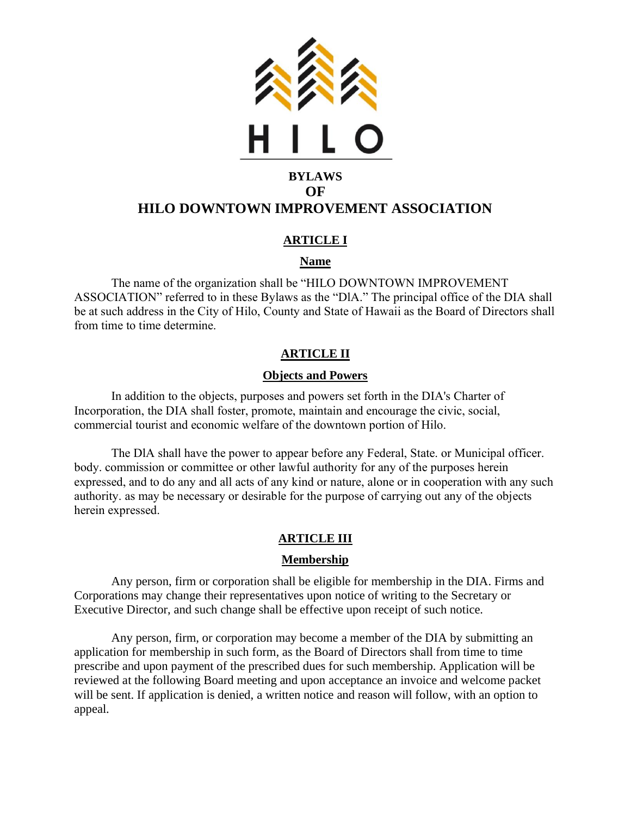

# **HILO DOWNTOWN IMPROVEMENT ASSOCIATION**

# **ARTICLE I**

# **Name**

The name of the organization shall be "HILO DOWNTOWN IMPROVEMENT ASSOCIATION" referred to in these Bylaws as the "DlA." The principal office of the DIA shall be at such address in the City of Hilo, County and State of Hawaii as the Board of Directors shall from time to time determine.

# **ARTICLE II**

## **Objects and Powers**

In addition to the objects, purposes and powers set forth in the DIA's Charter of Incorporation, the DIA shall foster, promote, maintain and encourage the civic, social, commercial tourist and economic welfare of the downtown portion of Hilo.

The DlA shall have the power to appear before any Federal, State. or Municipal officer. body. commission or committee or other lawful authority for any of the purposes herein expressed, and to do any and all acts of any kind or nature, alone or in cooperation with any such authority. as may be necessary or desirable for the purpose of carrying out any of the objects herein expressed.

# **ARTICLE III**

## **Membership**

Any person, firm or corporation shall be eligible for membership in the DIA. Firms and Corporations may change their representatives upon notice of writing to the Secretary or Executive Director, and such change shall be effective upon receipt of such notice.

Any person, firm, or corporation may become a member of the DIA by submitting an application for membership in such form, as the Board of Directors shall from time to time prescribe and upon payment of the prescribed dues for such membership. Application will be reviewed at the following Board meeting and upon acceptance an invoice and welcome packet will be sent. If application is denied, a written notice and reason will follow, with an option to appeal.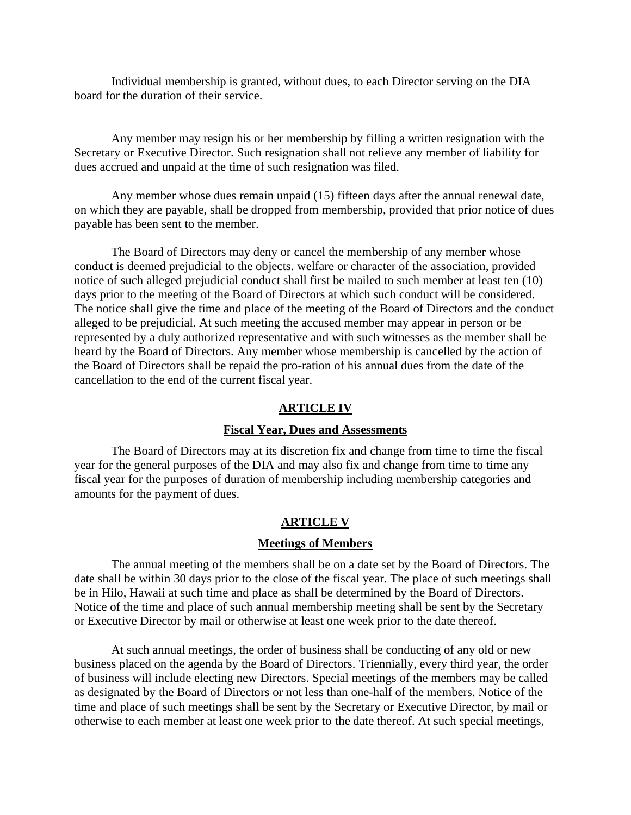Individual membership is granted, without dues, to each Director serving on the DIA board for the duration of their service.

Any member may resign his or her membership by filling a written resignation with the Secretary or Executive Director. Such resignation shall not relieve any member of liability for dues accrued and unpaid at the time of such resignation was filed.

Any member whose dues remain unpaid (15) fifteen days after the annual renewal date, on which they are payable, shall be dropped from membership, provided that prior notice of dues payable has been sent to the member.

The Board of Directors may deny or cancel the membership of any member whose conduct is deemed prejudicial to the objects. welfare or character of the association, provided notice of such alleged prejudicial conduct shall first be mailed to such member at least ten (10) days prior to the meeting of the Board of Directors at which such conduct will be considered. The notice shall give the time and place of the meeting of the Board of Directors and the conduct alleged to be prejudicial. At such meeting the accused member may appear in person or be represented by a duly authorized representative and with such witnesses as the member shall be heard by the Board of Directors. Any member whose membership is cancelled by the action of the Board of Directors shall be repaid the pro-ration of his annual dues from the date of the cancellation to the end of the current fiscal year.

## **ARTICLE IV**

#### **Fiscal Year, Dues and Assessments**

The Board of Directors may at its discretion fix and change from time to time the fiscal year for the general purposes of the DIA and may also fix and change from time to time any fiscal year for the purposes of duration of membership including membership categories and amounts for the payment of dues.

#### **ARTICLE V**

## **Meetings of Members**

The annual meeting of the members shall be on a date set by the Board of Directors. The date shall be within 30 days prior to the close of the fiscal year. The place of such meetings shall be in Hilo, Hawaii at such time and place as shall be determined by the Board of Directors. Notice of the time and place of such annual membership meeting shall be sent by the Secretary or Executive Director by mail or otherwise at least one week prior to the date thereof.

At such annual meetings, the order of business shall be conducting of any old or new business placed on the agenda by the Board of Directors. Triennially, every third year, the order of business will include electing new Directors. Special meetings of the members may be called as designated by the Board of Directors or not less than one-half of the members. Notice of the time and place of such meetings shall be sent by the Secretary or Executive Director, by mail or otherwise to each member at least one week prior to the date thereof. At such special meetings,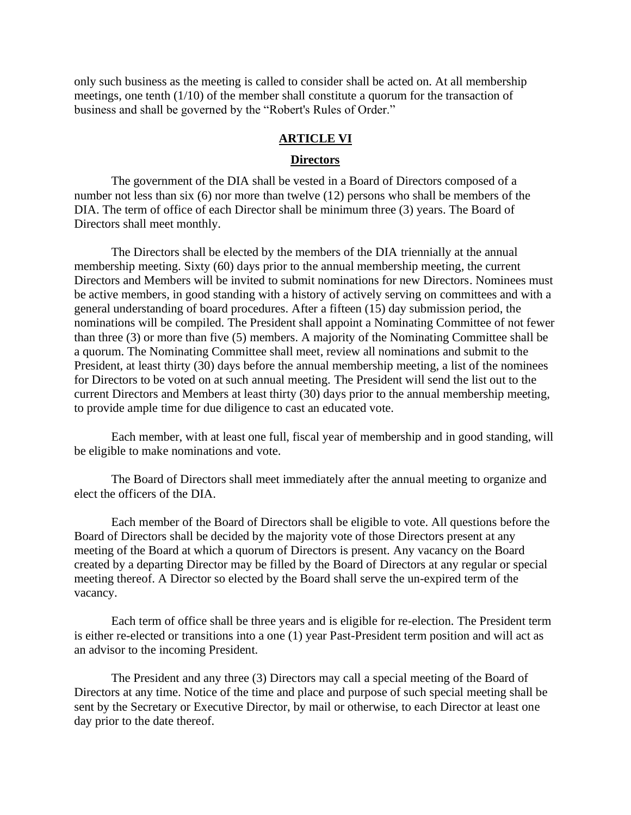only such business as the meeting is called to consider shall be acted on. At all membership meetings, one tenth (1/10) of the member shall constitute a quorum for the transaction of business and shall be governed by the "Robert's Rules of Order."

#### **ARTICLE VI**

#### **Directors**

The government of the DIA shall be vested in a Board of Directors composed of a number not less than six (6) nor more than twelve (12) persons who shall be members of the DIA. The term of office of each Director shall be minimum three (3) years. The Board of Directors shall meet monthly.

The Directors shall be elected by the members of the DIA triennially at the annual membership meeting. Sixty (60) days prior to the annual membership meeting, the current Directors and Members will be invited to submit nominations for new Directors. Nominees must be active members, in good standing with a history of actively serving on committees and with a general understanding of board procedures. After a fifteen (15) day submission period, the nominations will be compiled. The President shall appoint a Nominating Committee of not fewer than three (3) or more than five (5) members. A majority of the Nominating Committee shall be a quorum. The Nominating Committee shall meet, review all nominations and submit to the President, at least thirty (30) days before the annual membership meeting, a list of the nominees for Directors to be voted on at such annual meeting. The President will send the list out to the current Directors and Members at least thirty (30) days prior to the annual membership meeting, to provide ample time for due diligence to cast an educated vote.

Each member, with at least one full, fiscal year of membership and in good standing, will be eligible to make nominations and vote.

The Board of Directors shall meet immediately after the annual meeting to organize and elect the officers of the DIA.

Each member of the Board of Directors shall be eligible to vote. All questions before the Board of Directors shall be decided by the majority vote of those Directors present at any meeting of the Board at which a quorum of Directors is present. Any vacancy on the Board created by a departing Director may be filled by the Board of Directors at any regular or special meeting thereof. A Director so elected by the Board shall serve the un-expired term of the vacancy.

Each term of office shall be three years and is eligible for re-election. The President term is either re-elected or transitions into a one (1) year Past-President term position and will act as an advisor to the incoming President.

The President and any three (3) Directors may call a special meeting of the Board of Directors at any time. Notice of the time and place and purpose of such special meeting shall be sent by the Secretary or Executive Director, by mail or otherwise, to each Director at least one day prior to the date thereof.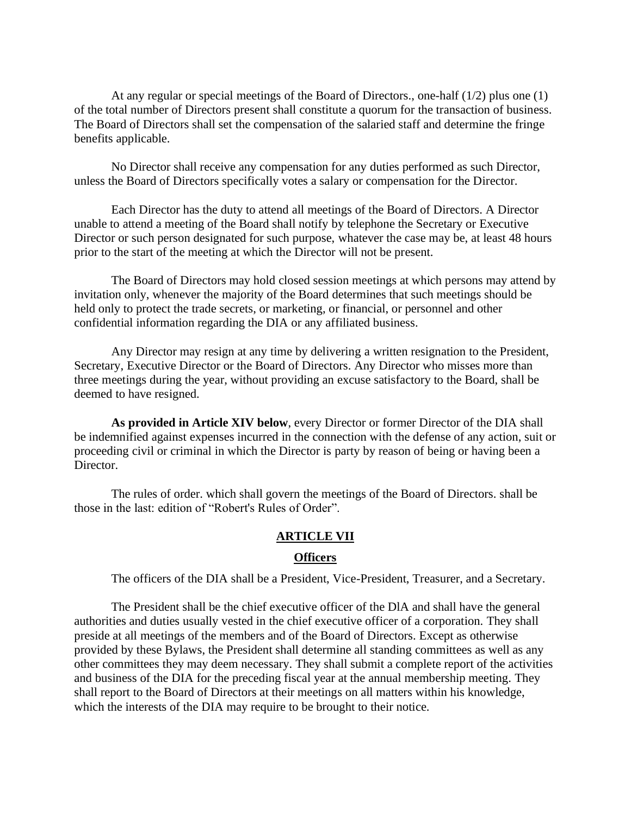At any regular or special meetings of the Board of Directors., one-half (1/2) plus one (1) of the total number of Directors present shall constitute a quorum for the transaction of business. The Board of Directors shall set the compensation of the salaried staff and determine the fringe benefits applicable.

No Director shall receive any compensation for any duties performed as such Director, unless the Board of Directors specifically votes a salary or compensation for the Director.

Each Director has the duty to attend all meetings of the Board of Directors. A Director unable to attend a meeting of the Board shall notify by telephone the Secretary or Executive Director or such person designated for such purpose, whatever the case may be, at least 48 hours prior to the start of the meeting at which the Director will not be present.

The Board of Directors may hold closed session meetings at which persons may attend by invitation only, whenever the majority of the Board determines that such meetings should be held only to protect the trade secrets, or marketing, or financial, or personnel and other confidential information regarding the DIA or any affiliated business.

Any Director may resign at any time by delivering a written resignation to the President, Secretary, Executive Director or the Board of Directors. Any Director who misses more than three meetings during the year, without providing an excuse satisfactory to the Board, shall be deemed to have resigned.

**As provided in Article XIV below**, every Director or former Director of the DIA shall be indemnified against expenses incurred in the connection with the defense of any action, suit or proceeding civil or criminal in which the Director is party by reason of being or having been a Director.

The rules of order. which shall govern the meetings of the Board of Directors. shall be those in the last: edition of "Robert's Rules of Order".

## **ARTICLE VII**

#### **Officers**

The officers of the DIA shall be a President, Vice-President, Treasurer, and a Secretary.

The President shall be the chief executive officer of the DlA and shall have the general authorities and duties usually vested in the chief executive officer of a corporation. They shall preside at all meetings of the members and of the Board of Directors. Except as otherwise provided by these Bylaws, the President shall determine all standing committees as well as any other committees they may deem necessary. They shall submit a complete report of the activities and business of the DIA for the preceding fiscal year at the annual membership meeting. They shall report to the Board of Directors at their meetings on all matters within his knowledge, which the interests of the DIA may require to be brought to their notice.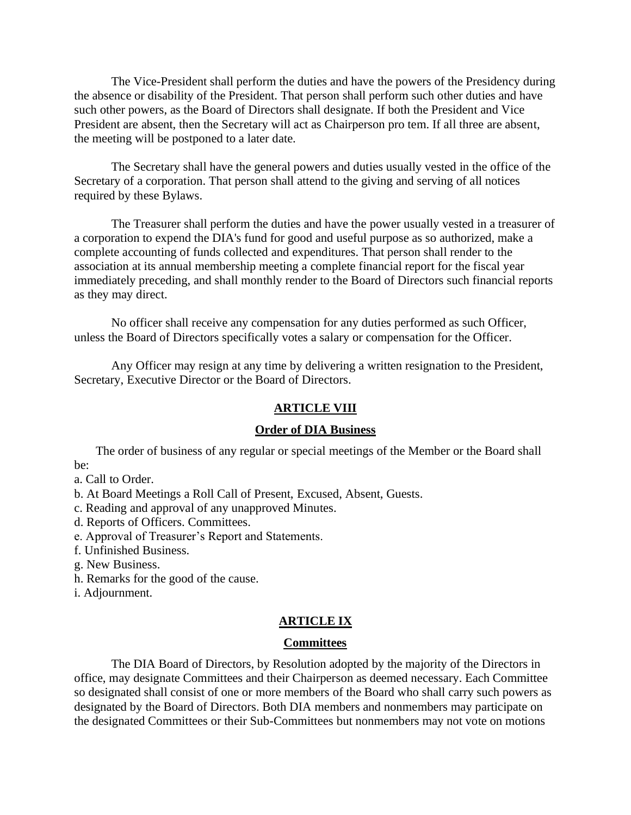The Vice-President shall perform the duties and have the powers of the Presidency during the absence or disability of the President. That person shall perform such other duties and have such other powers, as the Board of Directors shall designate. If both the President and Vice President are absent, then the Secretary will act as Chairperson pro tem. If all three are absent, the meeting will be postponed to a later date.

The Secretary shall have the general powers and duties usually vested in the office of the Secretary of a corporation. That person shall attend to the giving and serving of all notices required by these Bylaws.

The Treasurer shall perform the duties and have the power usually vested in a treasurer of a corporation to expend the DIA's fund for good and useful purpose as so authorized, make a complete accounting of funds collected and expenditures. That person shall render to the association at its annual membership meeting a complete financial report for the fiscal year immediately preceding, and shall monthly render to the Board of Directors such financial reports as they may direct.

No officer shall receive any compensation for any duties performed as such Officer, unless the Board of Directors specifically votes a salary or compensation for the Officer.

Any Officer may resign at any time by delivering a written resignation to the President, Secretary, Executive Director or the Board of Directors.

#### **ARTICLE VIII**

## **Order of DIA Business**

 The order of business of any regular or special meetings of the Member or the Board shall be:

a. Call to Order.

b. At Board Meetings a Roll Call of Present, Excused, Absent, Guests.

c. Reading and approval of any unapproved Minutes.

d. Reports of Officers. Committees.

e. Approval of Treasurer's Report and Statements.

f. Unfinished Business.

g. New Business.

h. Remarks for the good of the cause.

i. Adjournment.

#### **ARTICLE IX**

#### **Committees**

The DIA Board of Directors, by Resolution adopted by the majority of the Directors in office, may designate Committees and their Chairperson as deemed necessary. Each Committee so designated shall consist of one or more members of the Board who shall carry such powers as designated by the Board of Directors. Both DIA members and nonmembers may participate on the designated Committees or their Sub-Committees but nonmembers may not vote on motions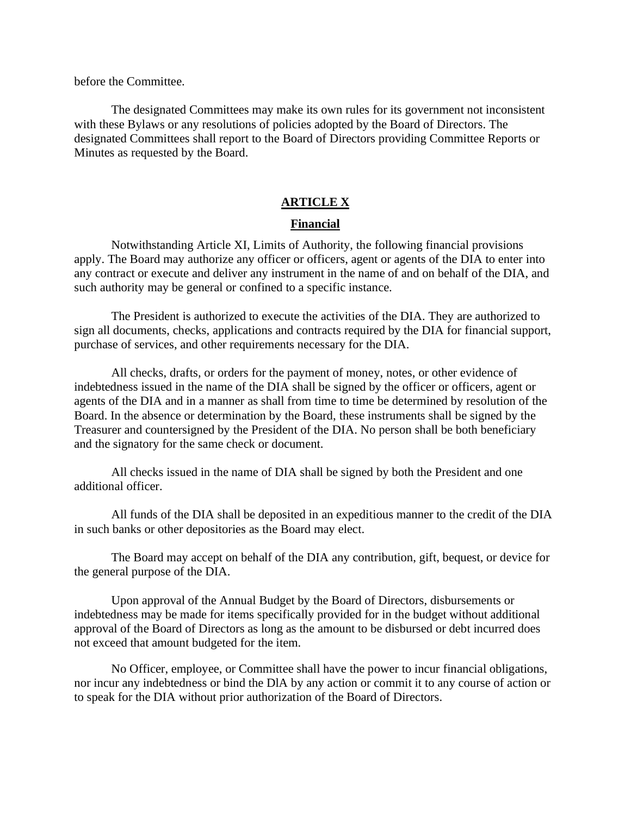before the Committee.

The designated Committees may make its own rules for its government not inconsistent with these Bylaws or any resolutions of policies adopted by the Board of Directors. The designated Committees shall report to the Board of Directors providing Committee Reports or Minutes as requested by the Board.

## **ARTICLE X**

#### **Financial**

Notwithstanding Article XI, Limits of Authority, the following financial provisions apply. The Board may authorize any officer or officers, agent or agents of the DIA to enter into any contract or execute and deliver any instrument in the name of and on behalf of the DIA, and such authority may be general or confined to a specific instance.

The President is authorized to execute the activities of the DIA. They are authorized to sign all documents, checks, applications and contracts required by the DIA for financial support, purchase of services, and other requirements necessary for the DIA.

All checks, drafts, or orders for the payment of money, notes, or other evidence of indebtedness issued in the name of the DIA shall be signed by the officer or officers, agent or agents of the DIA and in a manner as shall from time to time be determined by resolution of the Board. In the absence or determination by the Board, these instruments shall be signed by the Treasurer and countersigned by the President of the DIA. No person shall be both beneficiary and the signatory for the same check or document.

All checks issued in the name of DIA shall be signed by both the President and one additional officer.

All funds of the DIA shall be deposited in an expeditious manner to the credit of the DIA in such banks or other depositories as the Board may elect.

The Board may accept on behalf of the DIA any contribution, gift, bequest, or device for the general purpose of the DIA.

Upon approval of the Annual Budget by the Board of Directors, disbursements or indebtedness may be made for items specifically provided for in the budget without additional approval of the Board of Directors as long as the amount to be disbursed or debt incurred does not exceed that amount budgeted for the item.

No Officer, employee, or Committee shall have the power to incur financial obligations, nor incur any indebtedness or bind the DlA by any action or commit it to any course of action or to speak for the DIA without prior authorization of the Board of Directors.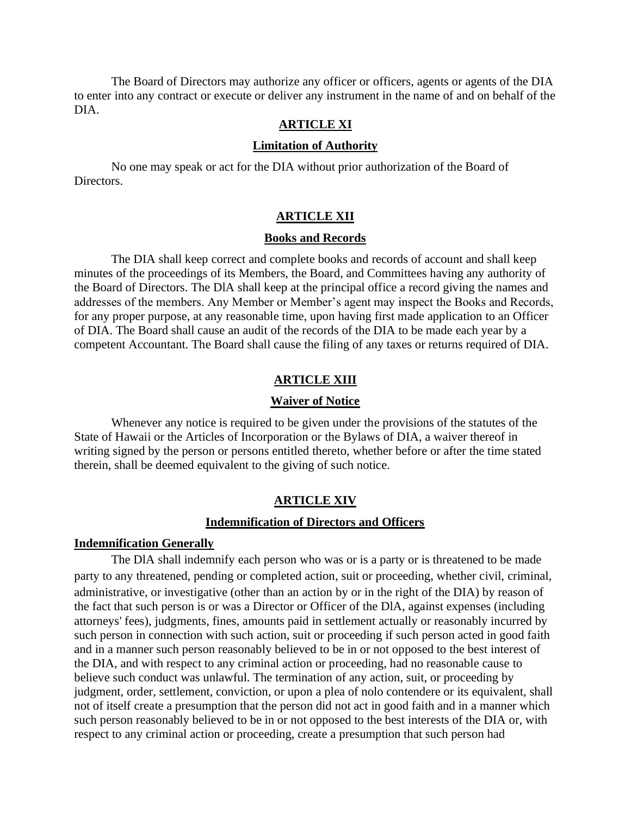The Board of Directors may authorize any officer or officers, agents or agents of the DIA to enter into any contract or execute or deliver any instrument in the name of and on behalf of the DIA.

## **ARTICLE XI**

#### **Limitation of Authority**

No one may speak or act for the DIA without prior authorization of the Board of Directors.

## **ARTICLE XII**

#### **Books and Records**

The DIA shall keep correct and complete books and records of account and shall keep minutes of the proceedings of its Members, the Board, and Committees having any authority of the Board of Directors. The DlA shall keep at the principal office a record giving the names and addresses of the members. Any Member or Member's agent may inspect the Books and Records, for any proper purpose, at any reasonable time, upon having first made application to an Officer of DIA. The Board shall cause an audit of the records of the DIA to be made each year by a competent Accountant. The Board shall cause the filing of any taxes or returns required of DIA.

#### **ARTICLE XIII**

## **Waiver of Notice**

Whenever any notice is required to be given under the provisions of the statutes of the State of Hawaii or the Articles of Incorporation or the Bylaws of DIA, a waiver thereof in writing signed by the person or persons entitled thereto, whether before or after the time stated therein, shall be deemed equivalent to the giving of such notice.

### **ARTICLE XIV**

#### **Indemnification of Directors and Officers**

## **Indemnification Generally**

The DlA shall indemnify each person who was or is a party or is threatened to be made party to any threatened, pending or completed action, suit or proceeding, whether civil, criminal, administrative, or investigative (other than an action by or in the right of the DIA) by reason of the fact that such person is or was a Director or Officer of the DlA, against expenses (including attorneys' fees), judgments, fines, amounts paid in settlement actually or reasonably incurred by such person in connection with such action, suit or proceeding if such person acted in good faith and in a manner such person reasonably believed to be in or not opposed to the best interest of the DIA, and with respect to any criminal action or proceeding, had no reasonable cause to believe such conduct was unlawful. The termination of any action, suit, or proceeding by judgment, order, settlement, conviction, or upon a plea of nolo contendere or its equivalent, shall not of itself create a presumption that the person did not act in good faith and in a manner which such person reasonably believed to be in or not opposed to the best interests of the DIA or, with respect to any criminal action or proceeding, create a presumption that such person had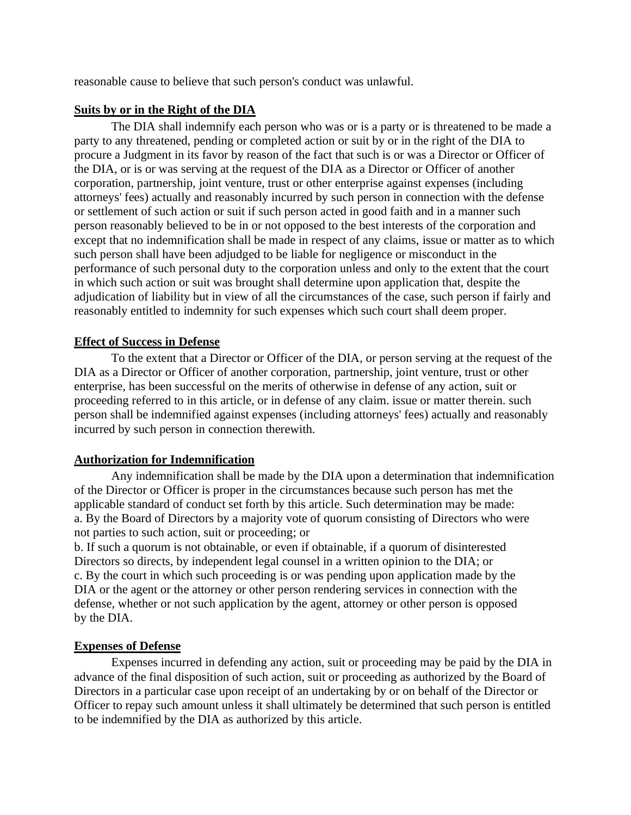reasonable cause to believe that such person's conduct was unlawful.

# **Suits by or in the Right of the DIA**

The DIA shall indemnify each person who was or is a party or is threatened to be made a party to any threatened, pending or completed action or suit by or in the right of the DIA to procure a Judgment in its favor by reason of the fact that such is or was a Director or Officer of the DIA, or is or was serving at the request of the DIA as a Director or Officer of another corporation, partnership, joint venture, trust or other enterprise against expenses (including attorneys' fees) actually and reasonably incurred by such person in connection with the defense or settlement of such action or suit if such person acted in good faith and in a manner such person reasonably believed to be in or not opposed to the best interests of the corporation and except that no indemnification shall be made in respect of any claims, issue or matter as to which such person shall have been adjudged to be liable for negligence or misconduct in the performance of such personal duty to the corporation unless and only to the extent that the court in which such action or suit was brought shall determine upon application that, despite the adjudication of liability but in view of all the circumstances of the case, such person if fairly and reasonably entitled to indemnity for such expenses which such court shall deem proper.

# **Effect of Success in Defense**

To the extent that a Director or Officer of the DIA, or person serving at the request of the DIA as a Director or Officer of another corporation, partnership, joint venture, trust or other enterprise, has been successful on the merits of otherwise in defense of any action, suit or proceeding referred to in this article, or in defense of any claim. issue or matter therein. such person shall be indemnified against expenses (including attorneys' fees) actually and reasonably incurred by such person in connection therewith.

# **Authorization for Indemnification**

Any indemnification shall be made by the DIA upon a determination that indemnification of the Director or Officer is proper in the circumstances because such person has met the applicable standard of conduct set forth by this article. Such determination may be made: a. By the Board of Directors by a majority vote of quorum consisting of Directors who were not parties to such action, suit or proceeding; or

b. If such a quorum is not obtainable, or even if obtainable, if a quorum of disinterested Directors so directs, by independent legal counsel in a written opinion to the DIA; or c. By the court in which such proceeding is or was pending upon application made by the DIA or the agent or the attorney or other person rendering services in connection with the defense, whether or not such application by the agent, attorney or other person is opposed by the DIA.

# **Expenses of Defense**

Expenses incurred in defending any action, suit or proceeding may be paid by the DIA in advance of the final disposition of such action, suit or proceeding as authorized by the Board of Directors in a particular case upon receipt of an undertaking by or on behalf of the Director or Officer to repay such amount unless it shall ultimately be determined that such person is entitled to be indemnified by the DIA as authorized by this article.